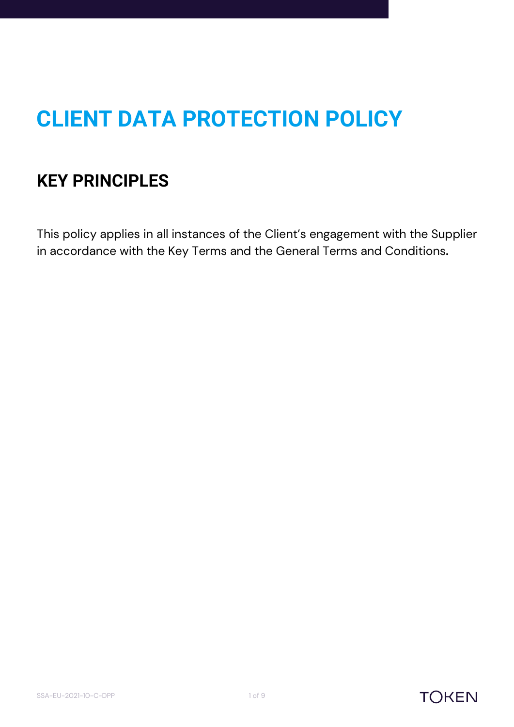# **CLIENT DATA PROTECTION POLICY**

# **KEY PRINCIPLES**

This policy applies in all instances of the Client's engagement with the Supplier in accordance with the Key Terms and the General Terms and Conditions**.**



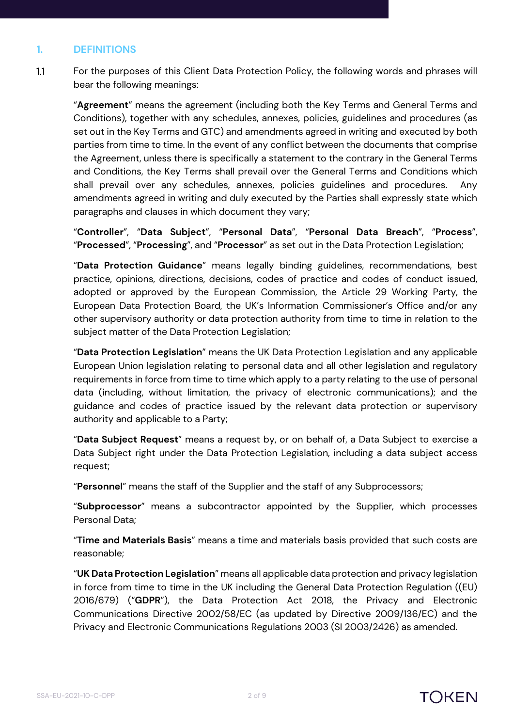#### **1. DEFINITIONS**

 $1.1$ For the purposes of this Client Data Protection Policy, the following words and phrases will bear the following meanings:

"**Agreement**" means the agreement (including both the Key Terms and General Terms and Conditions), together with any schedules, annexes, policies, guidelines and procedures (as set out in the Key Terms and GTC) and amendments agreed in writing and executed by both parties from time to time. In the event of any conflict between the documents that comprise the Agreement, unless there is specifically a statement to the contrary in the General Terms and Conditions, the Key Terms shall prevail over the General Terms and Conditions which shall prevail over any schedules, annexes, policies guidelines and procedures. Any amendments agreed in writing and duly executed by the Parties shall expressly state which paragraphs and clauses in which document they vary;

"**Controller**", "**Data Subject**", "**Personal Data**", "**Personal Data Breach**", "**Process**", "**Processed**", "**Processing**", and "**Processor**" as set out in the Data Protection Legislation;

"**Data Protection Guidance**" means legally binding guidelines, recommendations, best practice, opinions, directions, decisions, codes of practice and codes of conduct issued, adopted or approved by the European Commission, the Article 29 Working Party, the European Data Protection Board, the UK's Information Commissioner's Office and/or any other supervisory authority or data protection authority from time to time in relation to the subject matter of the Data Protection Legislation;

"**Data Protection Legislation**" means the UK Data Protection Legislation and any applicable European Union legislation relating to personal data and all other legislation and regulatory requirements in force from time to time which apply to a party relating to the use of personal data (including, without limitation, the privacy of electronic communications); and the guidance and codes of practice issued by the relevant data protection or supervisory authority and applicable to a Party;

"**Data Subject Request**" means a request by, or on behalf of, a Data Subject to exercise a Data Subject right under the Data Protection Legislation, including a data subject access request;

"**Personnel**" means the staff of the Supplier and the staff of any Subprocessors;

"**Subprocessor**" means a subcontractor appointed by the Supplier, which processes Personal Data;

"**Time and Materials Basis**" means a time and materials basis provided that such costs are reasonable;

"**UK Data Protection Legislation**" means all applicable data protection and privacy legislation in force from time to time in the UK including the General Data Protection Regulation ((EU) 2016/679) ("**GDPR**"), the Data Protection Act 2018, the Privacy and Electronic Communications Directive 2002/58/EC (as updated by Directive 2009/136/EC) and the Privacy and Electronic Communications Regulations 2003 (SI 2003/2426) as amended.

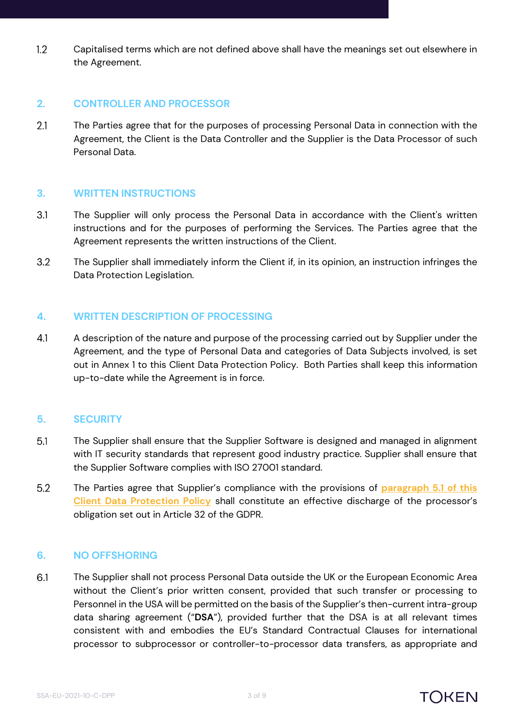$1.2$ Capitalised terms which are not defined above shall have the meanings set out elsewhere in the Agreement.

#### **2. CONTROLLER AND PROCESSOR**

 $2.1$ The Parties agree that for the purposes of processing Personal Data in connection with the Agreement, the Client is the Data Controller and the Supplier is the Data Processor of such Personal Data.

#### **3. WRITTEN INSTRUCTIONS**

- $3.1$ The Supplier will only process the Personal Data in accordance with the Client's written instructions and for the purposes of performing the Services. The Parties agree that the Agreement represents the written instructions of the Client.
- $3.2$ The Supplier shall immediately inform the Client if, in its opinion, an instruction infringes the Data Protection Legislation.

#### **4. WRITTEN DESCRIPTION OF PROCESSING**

 $4.1$ A description of the nature and purpose of the processing carried out by Supplier under the Agreement, and the type of Personal Data and categories of Data Subjects involved, is set out in Annex 1 to this Client Data Protection Policy. Both Parties shall keep this information up-to-date while the Agreement is in force.

#### **5. SECURITY**

- <span id="page-2-0"></span> $5.1$ The Supplier shall ensure that the Supplier Software is designed and managed in alignment with IT security standards that represent good industry practice. Supplier shall ensure that the Supplier Software complies with ISO 27001 standard.
- $5.2$ The Parties agree that Supplier's compliance with the provisions of **paragraph [5.1](#page-2-0) of this Client Data Protection Policy** shall constitute an effective discharge of the processor's obligation set out in Article 32 of the GDPR.

#### **6. NO OFFSHORING**

6.1 The Supplier shall not process Personal Data outside the UK or the European Economic Area without the Client's prior written consent, provided that such transfer or processing to Personnel in the USA will be permitted on the basis of the Supplier's then-current intra-group data sharing agreement ("**DSA**"), provided further that the DSA is at all relevant times consistent with and embodies the EU's Standard Contractual Clauses for international processor to subprocessor or controller-to-processor data transfers, as appropriate and

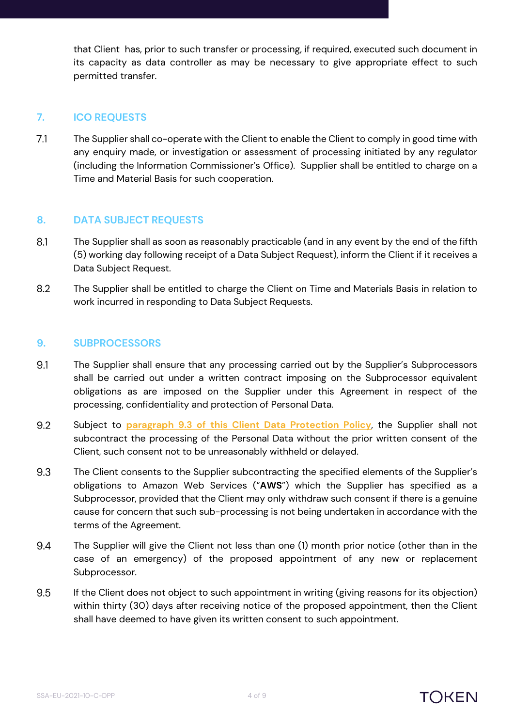that Client has, prior to such transfer or processing, if required, executed such document in its capacity as data controller as may be necessary to give appropriate effect to such permitted transfer.

#### **7. ICO REQUESTS**

 $71$ The Supplier shall co-operate with the Client to enable the Client to comply in good time with any enquiry made, or investigation or assessment of processing initiated by any regulator (including the Information Commissioner's Office). Supplier shall be entitled to charge on a Time and Material Basis for such cooperation.

#### **8. DATA SUBJECT REQUESTS**

- 8.1 The Supplier shall as soon as reasonably practicable (and in any event by the end of the fifth (5) working day following receipt of a Data Subject Request), inform the Client if it receives a Data Subject Request.
- 8.2 The Supplier shall be entitled to charge the Client on Time and Materials Basis in relation to work incurred in responding to Data Subject Requests.

#### **9. SUBPROCESSORS**

- The Supplier shall ensure that any processing carried out by the Supplier's Subprocessors 9.1 shall be carried out under a written contract imposing on the Subprocessor equivalent obligations as are imposed on the Supplier under this Agreement in respect of the processing, confidentiality and protection of Personal Data.
- <span id="page-3-0"></span>9.2 Subject to **paragraph 9.3 of this Client Data Protection Policy**, the Supplier shall not subcontract the processing of the Personal Data without the prior written consent of the Client, such consent not to be unreasonably withheld or delayed.
- 9.3 The Client consents to the Supplier subcontracting the specified elements of the Supplier's obligations to Amazon Web Services ("**AWS**") which the Supplier has specified as a Subprocessor, provided that the Client may only withdraw such consent if there is a genuine cause for concern that such sub-processing is not being undertaken in accordance with the terms of the Agreement.
- 9.4 The Supplier will give the Client not less than one (1) month prior notice (other than in the case of an emergency) of the proposed appointment of any new or replacement Subprocessor.
- 9.5 If the Client does not object to such appointment in writing (giving reasons for its objection) within thirty (30) days after receiving notice of the proposed appointment, then the Client shall have deemed to have given its written consent to such appointment.

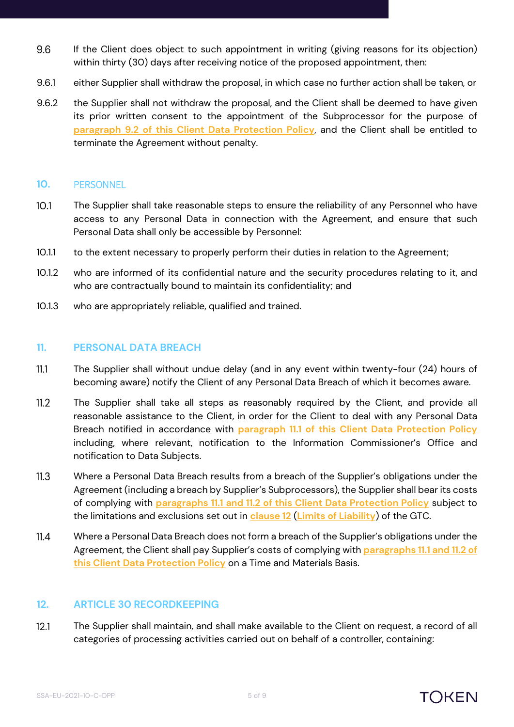- 9.6 If the Client does object to such appointment in writing (giving reasons for its objection) within thirty (30) days after receiving notice of the proposed appointment, then:
- 9.6.1 either Supplier shall withdraw the proposal, in which case no further action shall be taken, or
- 9.6.2 the Supplier shall not withdraw the proposal, and the Client shall be deemed to have given its prior written consent to the appointment of the Subprocessor for the purpose of **paragraph [9.2](#page-3-0) of this Client Data Protection Policy**, and the Client shall be entitled to terminate the Agreement without penalty.

#### **10.** PERSONNEL

- The Supplier shall take reasonable steps to ensure the reliability of any Personnel who have  $10.1$ access to any Personal Data in connection with the Agreement, and ensure that such Personal Data shall only be accessible by Personnel:
- 10.1.1 to the extent necessary to properly perform their duties in relation to the Agreement;
- 10.1.2 who are informed of its confidential nature and the security procedures relating to it, and who are contractually bound to maintain its confidentiality; and
- 10.1.3 who are appropriately reliable, qualified and trained.

#### **11. PERSONAL DATA BREACH**

- <span id="page-4-0"></span> $11.1$ The Supplier shall without undue delay (and in any event within twenty-four (24) hours of becoming aware) notify the Client of any Personal Data Breach of which it becomes aware.
- <span id="page-4-1"></span> $11.2$ The Supplier shall take all steps as reasonably required by the Client, and provide all reasonable assistance to the Client, in order for the Client to deal with any Personal Data Breach notified in accordance with **paragraph [11.1](#page-4-0) of this Client Data Protection Policy** including, where relevant, notification to the Information Commissioner's Office and notification to Data Subjects.
- $11.3$ Where a Personal Data Breach results from a breach of the Supplier's obligations under the Agreement (including a breach by Supplier's Subprocessors), the Supplier shall bear its costs of complying with **paragraphs [11.1](#page-4-0) and [11.2](#page-4-1) of this Client Data Protection Policy** subject to the limitations and exclusions set out in **clause 12** (**Limits of Liability**) of the GTC.
- $11.4$ Where a Personal Data Breach does not form a breach of the Supplier's obligations under the Agreement, the Client shall pay Supplier's costs of complying with **paragraphs [11.1](#page-4-0) an[d 11.2](#page-4-1) of this Client Data Protection Policy** on a Time and Materials Basis.

#### **12. ARTICLE 30 RECORDKEEPING**

 $12.1$ The Supplier shall maintain, and shall make available to the Client on request, a record of all categories of processing activities carried out on behalf of a controller, containing:

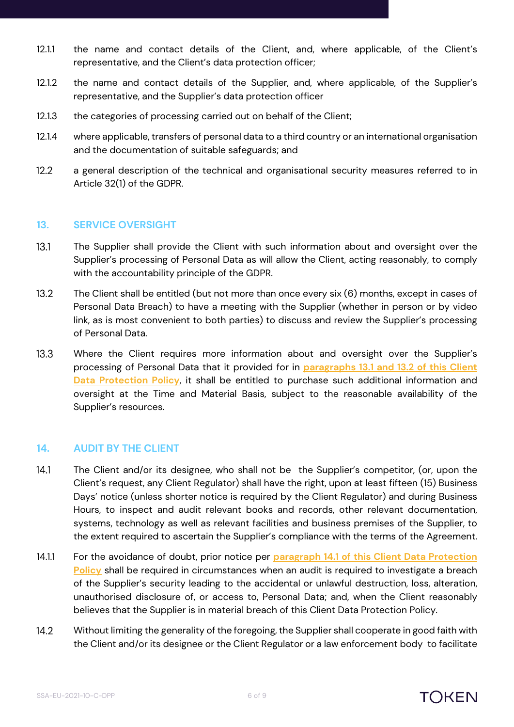- 12.1.1 the name and contact details of the Client, and, where applicable, of the Client's representative, and the Client's data protection officer;
- 12.1.2 the name and contact details of the Supplier, and, where applicable, of the Supplier's representative, and the Supplier's data protection officer
- 12.1.3 the categories of processing carried out on behalf of the Client;
- 12.1.4 where applicable, transfers of personal data to a third country or an international organisation and the documentation of suitable safeguards; and
- $12.2$ a general description of the technical and organisational security measures referred to in Article 32(1) of the GDPR.

#### **13. SERVICE OVERSIGHT**

- <span id="page-5-0"></span> $13.1$ The Supplier shall provide the Client with such information about and oversight over the Supplier's processing of Personal Data as will allow the Client, acting reasonably, to comply with the accountability principle of the GDPR.
- <span id="page-5-1"></span> $13.2$ The Client shall be entitled (but not more than once every six (6) months, except in cases of Personal Data Breach) to have a meeting with the Supplier (whether in person or by video link, as is most convenient to both parties) to discuss and review the Supplier's processing of Personal Data.
- $13.3$ Where the Client requires more information about and oversight over the Supplier's processing of Personal Data that it provided for in **paragraphs [13.1](#page-5-0) and [13.2](#page-5-1) of this Client Data Protection Policy**, it shall be entitled to purchase such additional information and oversight at the Time and Material Basis, subject to the reasonable availability of the Supplier's resources.

#### <span id="page-5-3"></span>**14. AUDIT BY THE CLIENT**

- <span id="page-5-2"></span> $14.1$ The Client and/or its designee, who shall not be the Supplier's competitor, (or, upon the Client's request, any Client Regulator) shall have the right, upon at least fifteen (15) Business Days' notice (unless shorter notice is required by the Client Regulator) and during Business Hours, to inspect and audit relevant books and records, other relevant documentation, systems, technology as well as relevant facilities and business premises of the Supplier, to the extent required to ascertain the Supplier's compliance with the terms of the Agreement.
- 14.1.1 For the avoidance of doubt, prior notice per **paragraph [14.1](#page-5-2) of this Client Data Protection Policy** shall be required in circumstances when an audit is required to investigate a breach of the Supplier's security leading to the accidental or unlawful destruction, loss, alteration, unauthorised disclosure of, or access to, Personal Data; and, when the Client reasonably believes that the Supplier is in material breach of this Client Data Protection Policy.
- $14.2$ Without limiting the generality of the foregoing, the Supplier shall cooperate in good faith with the Client and/or its designee or the Client Regulator or a law enforcement body to facilitate

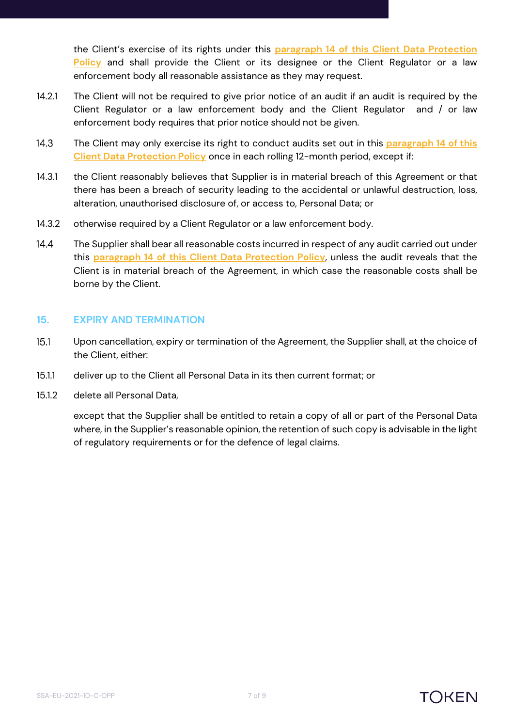the Client's exercise of its rights under this **paragraph [14](#page-5-3) of this Client Data Protection Policy** and shall provide the Client or its designee or the Client Regulator or a law enforcement body all reasonable assistance as they may request.

- 14.2.1 The Client will not be required to give prior notice of an audit if an audit is required by the Client Regulator or a law enforcement body and the Client Regulator and / or law enforcement body requires that prior notice should not be given.
- $14.3$ The Client may only exercise its right to conduct audits set out in this **paragraph [14](#page-5-3) of this Client Data Protection Policy** once in each rolling 12-month period, except if:
- 14.3.1 the Client reasonably believes that Supplier is in material breach of this Agreement or that there has been a breach of security leading to the accidental or unlawful destruction, loss, alteration, unauthorised disclosure of, or access to, Personal Data; or
- 14.3.2 otherwise required by a Client Regulator or a law enforcement body.
- $14.4$ The Supplier shall bear all reasonable costs incurred in respect of any audit carried out under this **paragraph [14](#page-5-3) of this Client Data Protection Policy**, unless the audit reveals that the Client is in material breach of the Agreement, in which case the reasonable costs shall be borne by the Client.

#### **15. EXPIRY AND TERMINATION**

- $15.1$ Upon cancellation, expiry or termination of the Agreement, the Supplier shall, at the choice of the Client, either:
- 15.1.1 deliver up to the Client all Personal Data in its then current format; or
- 15.1.2 delete all Personal Data,

except that the Supplier shall be entitled to retain a copy of all or part of the Personal Data where, in the Supplier's reasonable opinion, the retention of such copy is advisable in the light of regulatory requirements or for the defence of legal claims.

## TOKFN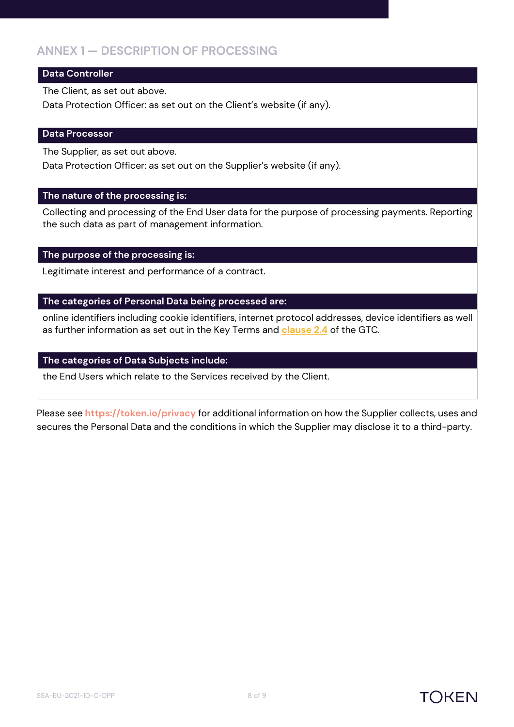### **ANNEX 1 — DESCRIPTION OF PROCESSING**

#### **Data Controller**

The Client, as set out above.

Data Protection Officer: as set out on the Client's website (if any).

#### **Data Processor**

The Supplier, as set out above.

Data Protection Officer: as set out on the Supplier's website (if any).

#### **The nature of the processing is:**

Collecting and processing of the End User data for the purpose of processing payments. Reporting the such data as part of management information.

#### **The purpose of the processing is:**

Legitimate interest and performance of a contract.

#### **The categories of Personal Data being processed are:**

online identifiers including cookie identifiers, internet protocol addresses, device identifiers as well as further information as set out in the Key Terms and **clause 2.4** of the GTC.

#### **The categories of Data Subjects include:**

the End Users which relate to the Services received by the Client.

Please see **https://token.io/privacy** for additional information on how the Supplier collects, uses and secures the Personal Data and the conditions in which the Supplier may disclose it to a third-party.